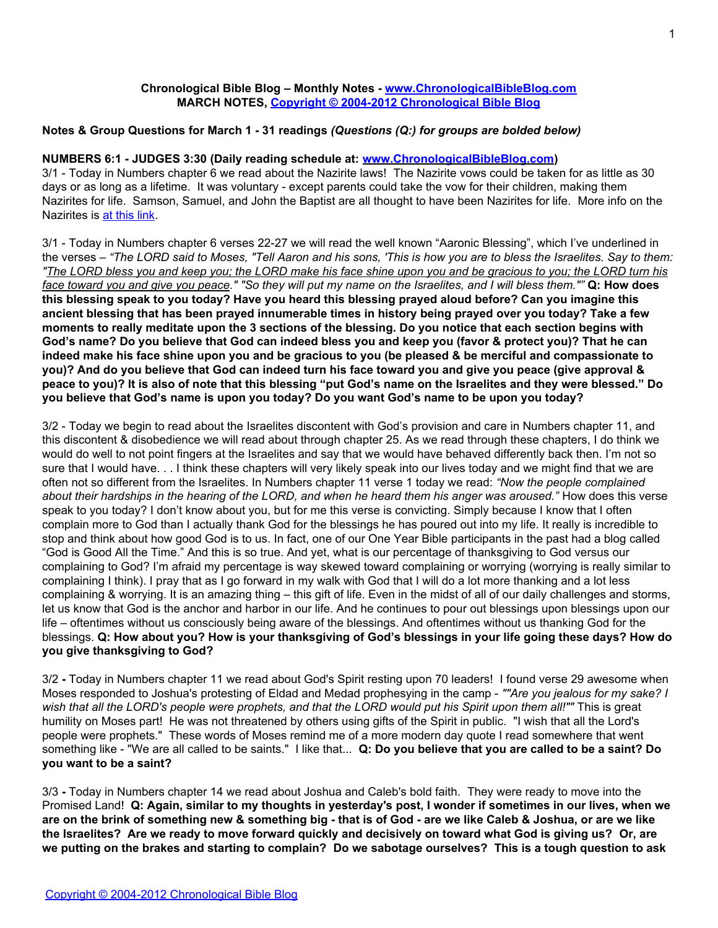# **Chronological Bible Blog – Monthly Notes - [www.ChronologicalBibleBlog.com](http://www.chronologicalbibleblog.com/) MARCH NOTES, [Copyright © 2004-2012 Chronological Bible Blog](http://www.chronologicalbibleblog.com/)**

# **Notes & Group Questions for March 1 - 31 readings** *(Questions (Q:) for groups are bolded below)*

#### **NUMBERS 6:1 - JUDGES 3:30 (Daily reading schedule at: [www.ChronologicalBibleBlog.com\)](http://www.chronologicalbibleblog.com/)**

3/1 - Today in Numbers chapter 6 we read about the Nazirite laws! The Nazirite vows could be taken for as little as 30 days or as long as a lifetime. It was voluntary - except parents could take the vow for their children, making them Nazirites for life. Samson, Samuel, and John the Baptist are all thought to have been Nazirites for life. More info on the Nazirites is [at this link](http://blank/).

3/1 - Today in Numbers chapter 6 verses 22-27 we will read the well known "Aaronic Blessing", which I've underlined in the verses – *"The LORD said to Moses, "Tell Aaron and his sons, 'This is how you are to bless the Israelites. Say to them: "The LORD bless you and keep you; the LORD make his face shine upon you and be gracious to you; the LORD turn his face toward you and give you peace." "So they will put my name on the Israelites, and I will bless them.""* **Q: How does this blessing speak to you today? Have you heard this blessing prayed aloud before? Can you imagine this ancient blessing that has been prayed innumerable times in history being prayed over you today? Take a few moments to really meditate upon the 3 sections of the blessing. Do you notice that each section begins with God's name? Do you believe that God can indeed bless you and keep you (favor & protect you)? That he can indeed make his face shine upon you and be gracious to you (be pleased & be merciful and compassionate to you)? And do you believe that God can indeed turn his face toward you and give you peace (give approval & peace to you)? It is also of note that this blessing "put God's name on the Israelites and they were blessed." Do you believe that God's name is upon you today? Do you want God's name to be upon you today?**

3/2 - Today we begin to read about the Israelites discontent with God's provision and care in Numbers chapter 11, and this discontent & disobedience we will read about through chapter 25. As we read through these chapters, I do think we would do well to not point fingers at the Israelites and say that we would have behaved differently back then. I'm not so sure that I would have. . . I think these chapters will very likely speak into our lives today and we might find that we are often not so different from the Israelites. In Numbers chapter 11 verse 1 today we read: *"Now the people complained about their hardships in the hearing of the LORD, and when he heard them his anger was aroused."* How does this verse speak to you today? I don't know about you, but for me this verse is convicting. Simply because I know that I often complain more to God than I actually thank God for the blessings he has poured out into my life. It really is incredible to stop and think about how good God is to us. In fact, one of our One Year Bible participants in the past had a blog called "God is Good All the Time." And this is so true. And yet, what is our percentage of thanksgiving to God versus our complaining to God? I'm afraid my percentage is way skewed toward complaining or worrying (worrying is really similar to complaining I think). I pray that as I go forward in my walk with God that I will do a lot more thanking and a lot less complaining & worrying. It is an amazing thing – this gift of life. Even in the midst of all of our daily challenges and storms, let us know that God is the anchor and harbor in our life. And he continues to pour out blessings upon blessings upon our life – oftentimes without us consciously being aware of the blessings. And oftentimes without us thanking God for the blessings. **Q: How about you? How is your thanksgiving of God's blessings in your life going these days? How do you give thanksgiving to God?**

3/2 **-** Today in Numbers chapter 11 we read about God's Spirit resting upon 70 leaders! I found verse 29 awesome when Moses responded to Joshua's protesting of Eldad and Medad prophesying in the camp - *""Are you jealous for my sake? I wish that all the LORD's people were prophets, and that the LORD would put his Spirit upon them all!""* This is great humility on Moses part! He was not threatened by others using gifts of the Spirit in public. "I wish that all the Lord's people were prophets." These words of Moses remind me of a more modern day quote I read somewhere that went something like - "We are all called to be saints." I like that... **Q: Do you believe that you are called to be a saint? Do you want to be a saint?**

3/3 **-** Today in Numbers chapter 14 we read about Joshua and Caleb's bold faith. They were ready to move into the Promised Land! **Q: Again, similar to my thoughts in yesterday's post, I wonder if sometimes in our lives, when we are on the brink of something new & something big - that is of God - are we like Caleb & Joshua, or are we like the Israelites? Are we ready to move forward quickly and decisively on toward what God is giving us? Or, are we putting on the brakes and starting to complain? Do we sabotage ourselves? This is a tough question to ask**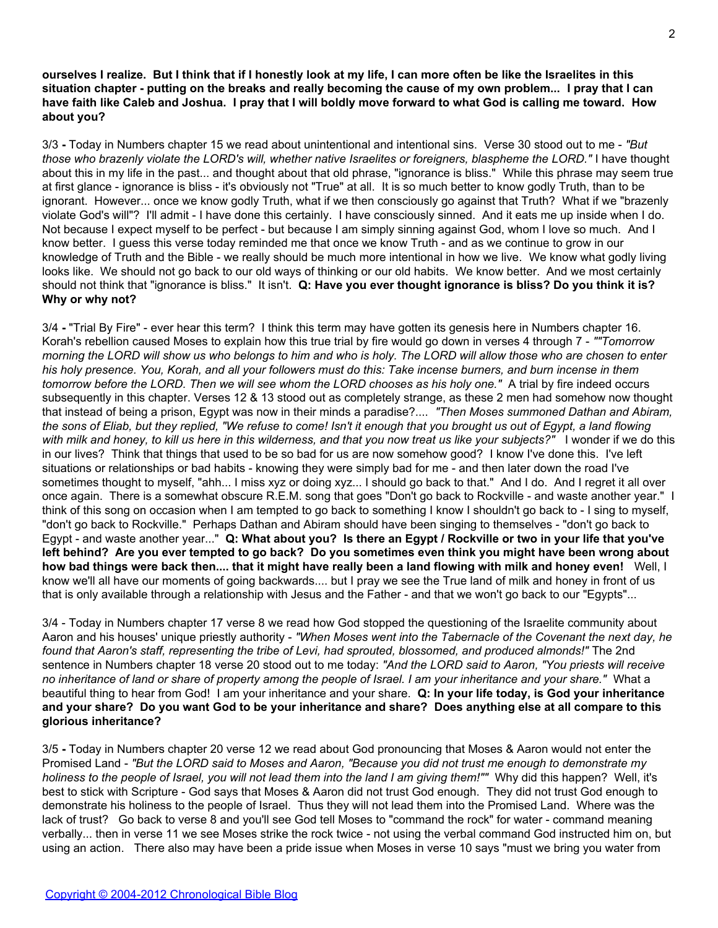**ourselves I realize. But I think that if I honestly look at my life, I can more often be like the Israelites in this situation chapter - putting on the breaks and really becoming the cause of my own problem... I pray that I can have faith like Caleb and Joshua. I pray that I will boldly move forward to what God is calling me toward. How about you?**

3/3 **-** Today in Numbers chapter 15 we read about unintentional and intentional sins. Verse 30 stood out to me - *"But those who brazenly violate the LORD's will, whether native Israelites or foreigners, blaspheme the LORD."* I have thought about this in my life in the past... and thought about that old phrase, "ignorance is bliss." While this phrase may seem true at first glance - ignorance is bliss - it's obviously not "True" at all. It is so much better to know godly Truth, than to be ignorant. However... once we know godly Truth, what if we then consciously go against that Truth? What if we "brazenly violate God's will"? I'll admit - I have done this certainly. I have consciously sinned. And it eats me up inside when I do. Not because I expect myself to be perfect - but because I am simply sinning against God, whom I love so much. And I know better. I guess this verse today reminded me that once we know Truth - and as we continue to grow in our knowledge of Truth and the Bible - we really should be much more intentional in how we live. We know what godly living looks like. We should not go back to our old ways of thinking or our old habits. We know better. And we most certainly should not think that "ignorance is bliss." It isn't. **Q: Have you ever thought ignorance is bliss? Do you think it is? Why or why not?**

3/4 **-** "Trial By Fire" - ever hear this term? I think this term may have gotten its genesis here in Numbers chapter 16. Korah's rebellion caused Moses to explain how this true trial by fire would go down in verses 4 through 7 - *""Tomorrow morning the LORD will show us who belongs to him and who is holy. The LORD will allow those who are chosen to enter his holy presence. You, Korah, and all your followers must do this: Take incense burners, and burn incense in them tomorrow before the LORD. Then we will see whom the LORD chooses as his holy one."* A trial by fire indeed occurs subsequently in this chapter. Verses 12 & 13 stood out as completely strange, as these 2 men had somehow now thought that instead of being a prison, Egypt was now in their minds a paradise?.... *"Then Moses summoned Dathan and Abiram, the sons of Eliab, but they replied, "We refuse to come! Isn't it enough that you brought us out of Egypt, a land flowing with milk and honey, to kill us here in this wilderness, and that you now treat us like your subjects?"* I wonder if we do this in our lives? Think that things that used to be so bad for us are now somehow good? I know I've done this. I've left situations or relationships or bad habits - knowing they were simply bad for me - and then later down the road I've sometimes thought to myself, "ahh... I miss xyz or doing xyz... I should go back to that." And I do. And I regret it all over once again. There is a somewhat obscure R.E.M. song that goes "Don't go back to Rockville - and waste another year." I think of this song on occasion when I am tempted to go back to something I know I shouldn't go back to - I sing to myself, "don't go back to Rockville." Perhaps Dathan and Abiram should have been singing to themselves - "don't go back to Egypt - and waste another year..." **Q: What about you? Is there an Egypt / Rockville or two in your life that you've left behind? Are you ever tempted to go back? Do you sometimes even think you might have been wrong about how bad things were back then.... that it might have really been a land flowing with milk and honey even!** Well, I know we'll all have our moments of going backwards.... but I pray we see the True land of milk and honey in front of us that is only available through a relationship with Jesus and the Father - and that we won't go back to our "Egypts"...

3/4 - Today in Numbers chapter 17 verse 8 we read how God stopped the questioning of the Israelite community about Aaron and his houses' unique priestly authority - *"When Moses went into the Tabernacle of the Covenant the next day, he found that Aaron's staff, representing the tribe of Levi, had sprouted, blossomed, and produced almonds!"* The 2nd sentence in Numbers chapter 18 verse 20 stood out to me today: *"And the LORD said to Aaron, "You priests will receive no inheritance of land or share of property among the people of Israel. I am your inheritance and your share."* What a beautiful thing to hear from God! I am your inheritance and your share. **Q: In your life today, is God your inheritance and your share? Do you want God to be your inheritance and share? Does anything else at all compare to this glorious inheritance?**

3/5 **-** Today in Numbers chapter 20 verse 12 we read about God pronouncing that Moses & Aaron would not enter the Promised Land - *"But the LORD said to Moses and Aaron, "Because you did not trust me enough to demonstrate my holiness to the people of Israel, you will not lead them into the land I am giving them!""* Why did this happen? Well, it's best to stick with Scripture - God says that Moses & Aaron did not trust God enough. They did not trust God enough to demonstrate his holiness to the people of Israel. Thus they will not lead them into the Promised Land. Where was the lack of trust? Go back to verse 8 and you'll see God tell Moses to "command the rock" for water - command meaning verbally... then in verse 11 we see Moses strike the rock twice - not using the verbal command God instructed him on, but using an action. There also may have been a pride issue when Moses in verse 10 says "must we bring you water from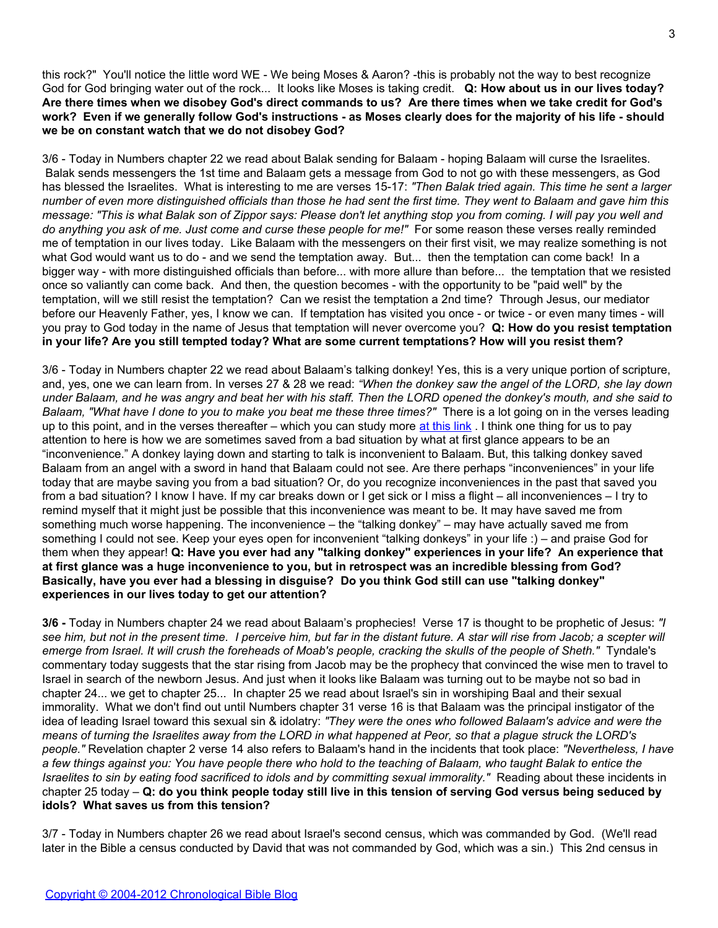this rock?" You'll notice the little word WE - We being Moses & Aaron? -this is probably not the way to best recognize God for God bringing water out of the rock... It looks like Moses is taking credit. **Q: How about us in our lives today? Are there times when we disobey God's direct commands to us? Are there times when we take credit for God's work? Even if we generally follow God's instructions - as Moses clearly does for the majority of his life - should we be on constant watch that we do not disobey God?**

3/6 - Today in Numbers chapter 22 we read about Balak sending for Balaam - hoping Balaam will curse the Israelites. Balak sends messengers the 1st time and Balaam gets a message from God to not go with these messengers, as God has blessed the Israelites. What is interesting to me are verses 15-17: *"Then Balak tried again. This time he sent a larger number of even more distinguished officials than those he had sent the first time. They went to Balaam and gave him this message: "This is what Balak son of Zippor says: Please don't let anything stop you from coming. I will pay you well and do anything you ask of me. Just come and curse these people for me!"* For some reason these verses really reminded me of temptation in our lives today. Like Balaam with the messengers on their first visit, we may realize something is not what God would want us to do - and we send the temptation away. But... then the temptation can come back! In a bigger way - with more distinguished officials than before... with more allure than before... the temptation that we resisted once so valiantly can come back. And then, the question becomes - with the opportunity to be "paid well" by the temptation, will we still resist the temptation? Can we resist the temptation a 2nd time? Through Jesus, our mediator before our Heavenly Father, yes, I know we can. If temptation has visited you once - or twice - or even many times - will you pray to God today in the name of Jesus that temptation will never overcome you? **Q: How do you resist temptation in your life? Are you still tempted today? What are some current temptations? How will you resist them?**

3/6 - Today in Numbers chapter 22 we read about Balaam's talking donkey! Yes, this is a very unique portion of scripture, and, yes, one we can learn from. In verses 27 & 28 we read: *"When the donkey saw the angel of the LORD, she lay down under Balaam, and he was angry and beat her with his staff. Then the LORD opened the donkey's mouth, and she said to Balaam, "What have I done to you to make you beat me these three times?"* There is a lot going on in the verses leading up to this point, and in the verses thereafter – which you can study more [at this link](http://blank/). I think one thing for us to pay attention to here is how we are sometimes saved from a bad situation by what at first glance appears to be an "inconvenience." A donkey laying down and starting to talk is inconvenient to Balaam. But, this talking donkey saved Balaam from an angel with a sword in hand that Balaam could not see. Are there perhaps "inconveniences" in your life today that are maybe saving you from a bad situation? Or, do you recognize inconveniences in the past that saved you from a bad situation? I know I have. If my car breaks down or I get sick or I miss a flight – all inconveniences – I try to remind myself that it might just be possible that this inconvenience was meant to be. It may have saved me from something much worse happening. The inconvenience – the "talking donkey" – may have actually saved me from something I could not see. Keep your eyes open for inconvenient "talking donkeys" in your life :) – and praise God for them when they appear! **Q: Have you ever had any "talking donkey" experiences in your life? An experience that at first glance was a huge inconvenience to you, but in retrospect was an incredible blessing from God? Basically, have you ever had a blessing in disguise? Do you think God still can use "talking donkey" experiences in our lives today to get our attention?**

**3/6 -** Today in Numbers chapter 24 we read about Balaam's prophecies! Verse 17 is thought to be prophetic of Jesus: *"I see him, but not in the present time. I perceive him, but far in the distant future. A star will rise from Jacob; a scepter will emerge from Israel. It will crush the foreheads of Moab's people, cracking the skulls of the people of Sheth."* Tyndale's commentary today suggests that the star rising from Jacob may be the prophecy that convinced the wise men to travel to Israel in search of the newborn Jesus. And just when it looks like Balaam was turning out to be maybe not so bad in chapter 24... we get to chapter 25... In chapter 25 we read about Israel's sin in worshiping Baal and their sexual immorality. What we don't find out until Numbers chapter 31 verse 16 is that Balaam was the principal instigator of the idea of leading Israel toward this sexual sin & idolatry: *"They were the ones who followed Balaam's advice and were the means of turning the Israelites away from the LORD in what happened at Peor, so that a plague struck the LORD's people."* Revelation chapter 2 verse 14 also refers to Balaam's hand in the incidents that took place: *"Nevertheless, I have a few things against you: You have people there who hold to the teaching of Balaam, who taught Balak to entice the Israelites to sin by eating food sacrificed to idols and by committing sexual immorality."* Reading about these incidents in chapter 25 today – **Q: do you think people today still live in this tension of serving God versus being seduced by idols? What saves us from this tension?**

3/7 - Today in Numbers chapter 26 we read about Israel's second census, which was commanded by God. (We'll read later in the Bible a census conducted by David that was not commanded by God, which was a sin.) This 2nd census in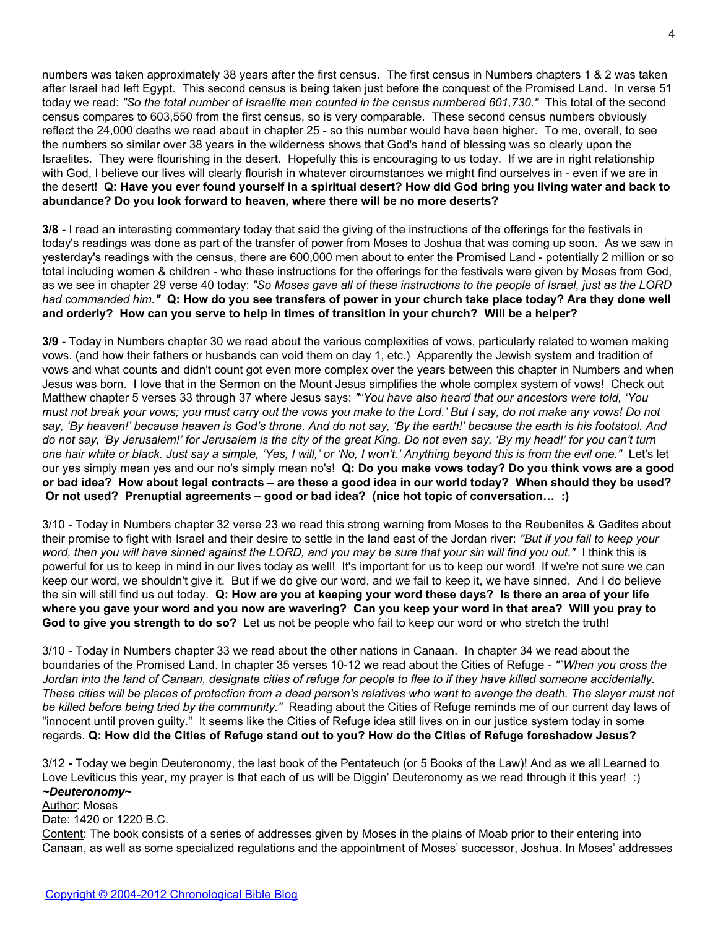numbers was taken approximately 38 years after the first census. The first census in Numbers chapters 1 & 2 was taken after Israel had left Egypt. This second census is being taken just before the conquest of the Promised Land. In verse 51 today we read: *"So the total number of Israelite men counted in the census numbered 601,730."* This total of the second census compares to 603,550 from the first census, so is very comparable. These second census numbers obviously reflect the 24,000 deaths we read about in chapter 25 - so this number would have been higher. To me, overall, to see the numbers so similar over 38 years in the wilderness shows that God's hand of blessing was so clearly upon the Israelites. They were flourishing in the desert. Hopefully this is encouraging to us today. If we are in right relationship with God, I believe our lives will clearly flourish in whatever circumstances we might find ourselves in - even if we are in the desert! **Q: Have you ever found yourself in a spiritual desert? How did God bring you living water and back to abundance? Do you look forward to heaven, where there will be no more deserts?**

**3/8 -** I read an interesting commentary today that said the giving of the instructions of the offerings for the festivals in today's readings was done as part of the transfer of power from Moses to Joshua that was coming up soon. As we saw in yesterday's readings with the census, there are 600,000 men about to enter the Promised Land - potentially 2 million or so total including women & children - who these instructions for the offerings for the festivals were given by Moses from God, as we see in chapter 29 verse 40 today: *"So Moses gave all of these instructions to the people of Israel, just as the LORD had commanded him."* **Q: How do you see transfers of power in your church take place today? Are they done well and orderly? How can you serve to help in times of transition in your church? Will be a helper?**

**3/9 -** Today in Numbers chapter 30 we read about the various complexities of vows, particularly related to women making vows. (and how their fathers or husbands can void them on day 1, etc.) Apparently the Jewish system and tradition of vows and what counts and didn't count got even more complex over the years between this chapter in Numbers and when Jesus was born. I love that in the Sermon on the Mount Jesus simplifies the whole complex system of vows! Check out Matthew chapter 5 verses 33 through 37 where Jesus says: *""You have also heard that our ancestors were told, 'You must not break your vows; you must carry out the vows you make to the Lord.' But I say, do not make any vows! Do not say, 'By heaven!' because heaven is God's throne. And do not say, 'By the earth!' because the earth is his footstool. And do not say, 'By Jerusalem!' for Jerusalem is the city of the great King. Do not even say, 'By my head!' for you can't turn one hair white or black. Just say a simple, 'Yes, I will,' or 'No, I won't.' Anything beyond this is from the evil one."* Let's let our yes simply mean yes and our no's simply mean no's! **Q: Do you make vows today? Do you think vows are a good or bad idea? How about legal contracts – are these a good idea in our world today? When should they be used? Or not used? Prenuptial agreements – good or bad idea? (nice hot topic of conversation… :)**

3/10 - Today in Numbers chapter 32 verse 23 we read this strong warning from Moses to the Reubenites & Gadites about their promise to fight with Israel and their desire to settle in the land east of the Jordan river: *"But if you fail to keep your word, then you will have sinned against the LORD, and you may be sure that your sin will find you out."* I think this is powerful for us to keep in mind in our lives today as well! It's important for us to keep our word! If we're not sure we can keep our word, we shouldn't give it. But if we do give our word, and we fail to keep it, we have sinned. And I do believe the sin will still find us out today. **Q: How are you at keeping your word these days? Is there an area of your life where you gave your word and you now are wavering? Can you keep your word in that area? Will you pray to God to give you strength to do so?** Let us not be people who fail to keep our word or who stretch the truth!

3/10 - Today in Numbers chapter 33 we read about the other nations in Canaan. In chapter 34 we read about the boundaries of the Promised Land. In chapter 35 verses 10-12 we read about the Cities of Refuge - *"`When you cross the Jordan into the land of Canaan, designate cities of refuge for people to flee to if they have killed someone accidentally. These cities will be places of protection from a dead person's relatives who want to avenge the death. The slayer must not be killed before being tried by the community."* Reading about the Cities of Refuge reminds me of our current day laws of "innocent until proven guilty." It seems like the Cities of Refuge idea still lives on in our justice system today in some regards. **Q: How did the Cities of Refuge stand out to you? How do the Cities of Refuge foreshadow Jesus?**

3/12 **-** Today we begin Deuteronomy, the last book of the Pentateuch (or 5 Books of the Law)! And as we all Learned to Love Leviticus this year, my prayer is that each of us will be Diggin' Deuteronomy as we read through it this year! :) *~Deuteronomy~*

# Author: Moses

Date: 1420 or 1220 B.C.

Content: The book consists of a series of addresses given by Moses in the plains of Moab prior to their entering into Canaan, as well as some specialized regulations and the appointment of Moses' successor, Joshua. In Moses' addresses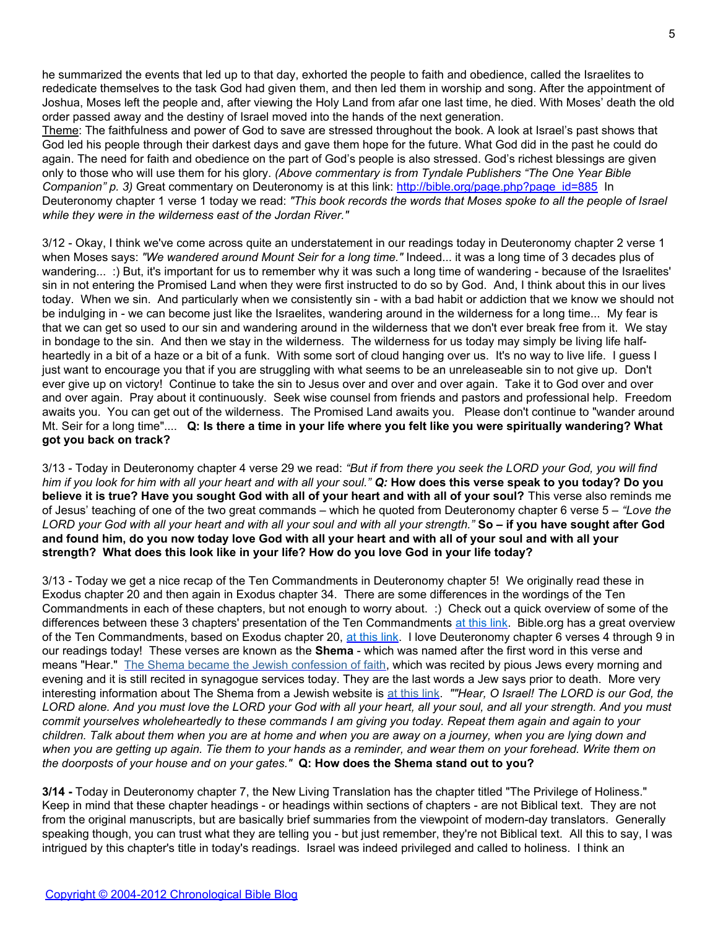he summarized the events that led up to that day, exhorted the people to faith and obedience, called the Israelites to rededicate themselves to the task God had given them, and then led them in worship and song. After the appointment of Joshua, Moses left the people and, after viewing the Holy Land from afar one last time, he died. With Moses' death the old order passed away and the destiny of Israel moved into the hands of the next generation.

Theme: The faithfulness and power of God to save are stressed throughout the book. A look at Israel's past shows that God led his people through their darkest days and gave them hope for the future. What God did in the past he could do again. The need for faith and obedience on the part of God's people is also stressed. God's richest blessings are given only to those who will use them for his glory. *(Above commentary is from Tyndale Publishers "The One Year Bible* Companion" p. 3) Great commentary on Deuteronomy is at this link: [http://bible.org/page.php?page\\_id=885](http://blank/) In Deuteronomy chapter 1 verse 1 today we read: *"This book records the words that Moses spoke to all the people of Israel while they were in the wilderness east of the Jordan River."*

3/12 - Okay, I think we've come across quite an understatement in our readings today in Deuteronomy chapter 2 verse 1 when Moses says: *"We wandered around Mount Seir for a long time."* Indeed... it was a long time of 3 decades plus of wandering... :) But, it's important for us to remember why it was such a long time of wandering - because of the Israelites' sin in not entering the Promised Land when they were first instructed to do so by God. And, I think about this in our lives today. When we sin. And particularly when we consistently sin - with a bad habit or addiction that we know we should not be indulging in - we can become just like the Israelites, wandering around in the wilderness for a long time... My fear is that we can get so used to our sin and wandering around in the wilderness that we don't ever break free from it. We stay in bondage to the sin. And then we stay in the wilderness. The wilderness for us today may simply be living life halfheartedly in a bit of a haze or a bit of a funk. With some sort of cloud hanging over us. It's no way to live life. I guess I just want to encourage you that if you are struggling with what seems to be an unreleaseable sin to not give up. Don't ever give up on victory! Continue to take the sin to Jesus over and over and over again. Take it to God over and over and over again. Pray about it continuously. Seek wise counsel from friends and pastors and professional help. Freedom awaits you. You can get out of the wilderness. The Promised Land awaits you. Please don't continue to "wander around Mt. Seir for a long time".... **Q: Is there a time in your life where you felt like you were spiritually wandering? What got you back on track?**

3/13 - Today in Deuteronomy chapter 4 verse 29 we read: *"But if from there you seek the LORD your God, you will find him if you look for him with all your heart and with all your soul." Q:* **How does this verse speak to you today? Do you believe it is true? Have you sought God with all of your heart and with all of your soul?** This verse also reminds me of Jesus' teaching of one of the two great commands – which he quoted from Deuteronomy chapter 6 verse 5 – *"Love the LORD your God with all your heart and with all your soul and with all your strength."* **So – if you have sought after God and found him, do you now today love God with all your heart and with all of your soul and with all your strength? What does this look like in your life? How do you love God in your life today?**

3/13 - Today we get a nice recap of the Ten Commandments in Deuteronomy chapter 5! We originally read these in Exodus chapter 20 and then again in Exodus chapter 34. There are some differences in the wordings of the Ten Commandments in each of these chapters, but not enough to worry about. :) Check out a quick overview of some of the differences between these 3 chapters' presentation of the Ten Commandments [at this link](http://blank/). Bible.org has a great overview of the Ten Commandments, based on Exodus chapter 20, [at this link](http://blank/). I love Deuteronomy chapter 6 verses 4 through 9 in our readings today! These verses are known as the **Shema** - which was named after the first word in this verse and means "Hear." [The Shema became the Jewish confession of faith](http://blank/), which was recited by pious Jews every morning and evening and it is still recited in synagogue services today. They are the last words a Jew says prior to death. More very interesting information about The Shema from a Jewish website is [at this link](http://blank/). *""Hear, O Israel! The LORD is our God, the LORD alone. And you must love the LORD your God with all your heart, all your soul, and all your strength. And you must commit yourselves wholeheartedly to these commands I am giving you today. Repeat them again and again to your children. Talk about them when you are at home and when you are away on a journey, when you are lying down and when you are getting up again. Tie them to your hands as a reminder, and wear them on your forehead. Write them on the doorposts of your house and on your gates."* **Q: How does the Shema stand out to you?**

**3/14 -** Today in Deuteronomy chapter 7, the New Living Translation has the chapter titled "The Privilege of Holiness." Keep in mind that these chapter headings - or headings within sections of chapters - are not Biblical text. They are not from the original manuscripts, but are basically brief summaries from the viewpoint of modern-day translators. Generally speaking though, you can trust what they are telling you - but just remember, they're not Biblical text. All this to say, I was intrigued by this chapter's title in today's readings. Israel was indeed privileged and called to holiness. I think an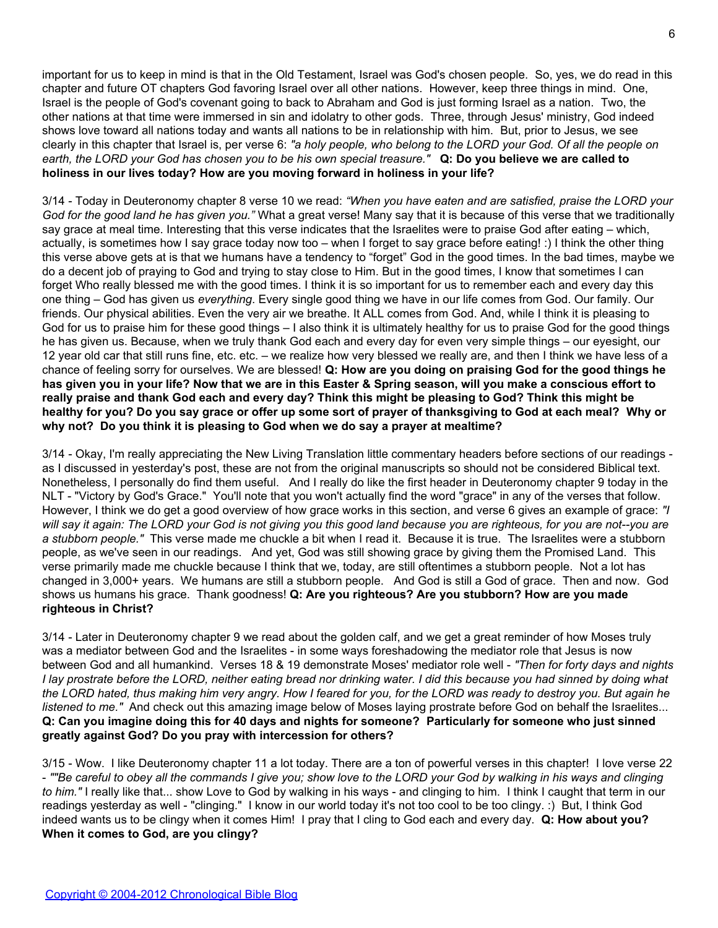important for us to keep in mind is that in the Old Testament, Israel was God's chosen people. So, yes, we do read in this chapter and future OT chapters God favoring Israel over all other nations. However, keep three things in mind. One, Israel is the people of God's covenant going to back to Abraham and God is just forming Israel as a nation. Two, the other nations at that time were immersed in sin and idolatry to other gods. Three, through Jesus' ministry, God indeed shows love toward all nations today and wants all nations to be in relationship with him. But, prior to Jesus, we see clearly in this chapter that Israel is, per verse 6: *"a holy people, who belong to the LORD your God. Of all the people on earth, the LORD your God has chosen you to be his own special treasure."* **Q: Do you believe we are called to holiness in our lives today? How are you moving forward in holiness in your life?**

3/14 - Today in Deuteronomy chapter 8 verse 10 we read: *"When you have eaten and are satisfied, praise the LORD your God for the good land he has given you."* What a great verse! Many say that it is because of this verse that we traditionally say grace at meal time. Interesting that this verse indicates that the Israelites were to praise God after eating – which, actually, is sometimes how I say grace today now too – when I forget to say grace before eating! :) I think the other thing this verse above gets at is that we humans have a tendency to "forget" God in the good times. In the bad times, maybe we do a decent job of praying to God and trying to stay close to Him. But in the good times, I know that sometimes I can forget Who really blessed me with the good times. I think it is so important for us to remember each and every day this one thing – God has given us *everything*. Every single good thing we have in our life comes from God. Our family. Our friends. Our physical abilities. Even the very air we breathe. It ALL comes from God. And, while I think it is pleasing to God for us to praise him for these good things – I also think it is ultimately healthy for us to praise God for the good things he has given us. Because, when we truly thank God each and every day for even very simple things – our eyesight, our 12 year old car that still runs fine, etc. etc. – we realize how very blessed we really are, and then I think we have less of a chance of feeling sorry for ourselves. We are blessed! **Q: How are you doing on praising God for the good things he has given you in your life? Now that we are in this Easter & Spring season, will you make a conscious effort to really praise and thank God each and every day? Think this might be pleasing to God? Think this might be healthy for you? Do you say grace or offer up some sort of prayer of thanksgiving to God at each meal? Why or why not? Do you think it is pleasing to God when we do say a prayer at mealtime?**

3/14 - Okay, I'm really appreciating the New Living Translation little commentary headers before sections of our readings as I discussed in yesterday's post, these are not from the original manuscripts so should not be considered Biblical text. Nonetheless, I personally do find them useful. And I really do like the first header in Deuteronomy chapter 9 today in the NLT - "Victory by God's Grace." You'll note that you won't actually find the word "grace" in any of the verses that follow. However, I think we do get a good overview of how grace works in this section, and verse 6 gives an example of grace: *"I will say it again: The LORD your God is not giving you this good land because you are righteous, for you are not--you are a stubborn people."* This verse made me chuckle a bit when I read it. Because it is true. The Israelites were a stubborn people, as we've seen in our readings. And yet, God was still showing grace by giving them the Promised Land. This verse primarily made me chuckle because I think that we, today, are still oftentimes a stubborn people. Not a lot has changed in 3,000+ years. We humans are still a stubborn people. And God is still a God of grace. Then and now. God shows us humans his grace. Thank goodness! **Q: Are you righteous? Are you stubborn? How are you made righteous in Christ?**

3/14 - Later in Deuteronomy chapter 9 we read about the golden calf, and we get a great reminder of how Moses truly was a mediator between God and the Israelites - in some ways foreshadowing the mediator role that Jesus is now between God and all humankind. Verses 18 & 19 demonstrate Moses' mediator role well - *"Then for forty days and nights I lay prostrate before the LORD, neither eating bread nor drinking water. I did this because you had sinned by doing what the LORD hated, thus making him very angry. How I feared for you, for the LORD was ready to destroy you. But again he listened to me."* And check out this amazing image below of Moses laying prostrate before God on behalf the Israelites... **Q: Can you imagine doing this for 40 days and nights for someone? Particularly for someone who just sinned greatly against God? Do you pray with intercession for others?**

3/15 - Wow. I like Deuteronomy chapter 11 a lot today. There are a ton of powerful verses in this chapter! I love verse 22 - *""Be careful to obey all the commands I give you; show love to the LORD your God by walking in his ways and clinging to him."* I really like that... show Love to God by walking in his ways - and clinging to him. I think I caught that term in our readings yesterday as well - "clinging." I know in our world today it's not too cool to be too clingy. :) But, I think God indeed wants us to be clingy when it comes Him! I pray that I cling to God each and every day. **Q: How about you? When it comes to God, are you clingy?**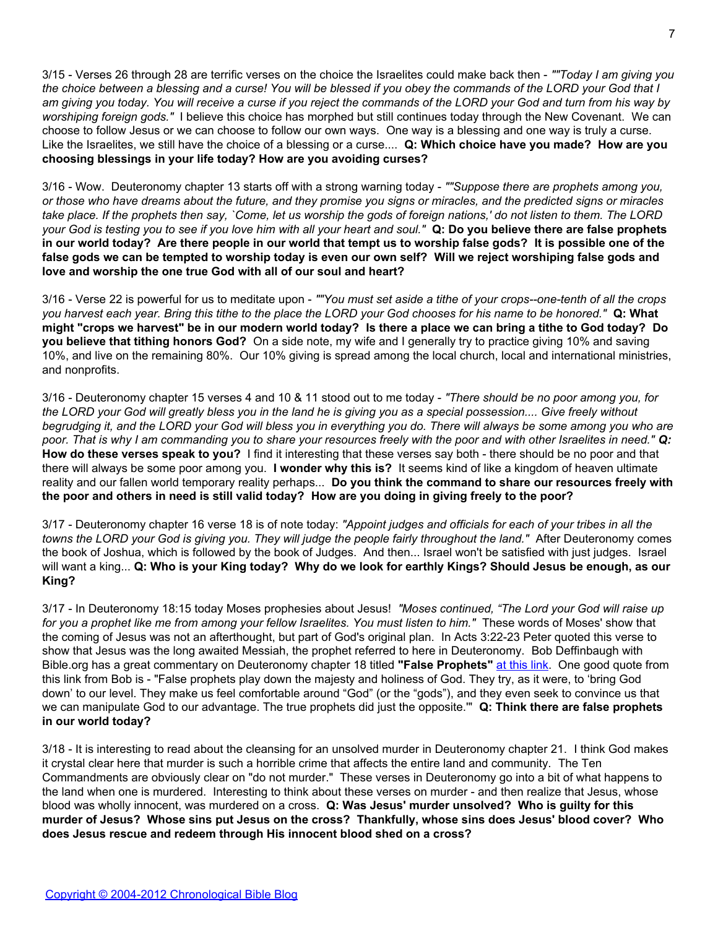3/15 - Verses 26 through 28 are terrific verses on the choice the Israelites could make back then - *""Today I am giving you the choice between a blessing and a curse! You will be blessed if you obey the commands of the LORD your God that I am giving you today. You will receive a curse if you reject the commands of the LORD your God and turn from his way by worshiping foreign gods."* I believe this choice has morphed but still continues today through the New Covenant. We can choose to follow Jesus or we can choose to follow our own ways. One way is a blessing and one way is truly a curse. Like the Israelites, we still have the choice of a blessing or a curse.... **Q: Which choice have you made? How are you choosing blessings in your life today? How are you avoiding curses?**

3/16 - Wow. Deuteronomy chapter 13 starts off with a strong warning today - *""Suppose there are prophets among you, or those who have dreams about the future, and they promise you signs or miracles, and the predicted signs or miracles take place. If the prophets then say, `Come, let us worship the gods of foreign nations,' do not listen to them. The LORD your God is testing you to see if you love him with all your heart and soul."* **Q: Do you believe there are false prophets in our world today? Are there people in our world that tempt us to worship false gods? It is possible one of the false gods we can be tempted to worship today is even our own self? Will we reject worshiping false gods and love and worship the one true God with all of our soul and heart?**

3/16 - Verse 22 is powerful for us to meditate upon - *""You must set aside a tithe of your crops--one-tenth of all the crops you harvest each year. Bring this tithe to the place the LORD your God chooses for his name to be honored."* **Q: What might "crops we harvest" be in our modern world today? Is there a place we can bring a tithe to God today? Do you believe that tithing honors God?** On a side note, my wife and I generally try to practice giving 10% and saving 10%, and live on the remaining 80%. Our 10% giving is spread among the local church, local and international ministries, and nonprofits.

3/16 - Deuteronomy chapter 15 verses 4 and 10 & 11 stood out to me today - *"There should be no poor among you, for the LORD your God will greatly bless you in the land he is giving you as a special possession.... Give freely without begrudging it, and the LORD your God will bless you in everything you do. There will always be some among you who are poor. That is why I am commanding you to share your resources freely with the poor and with other Israelites in need." Q:* **How do these verses speak to you?** I find it interesting that these verses say both - there should be no poor and that there will always be some poor among you. **I wonder why this is?** It seems kind of like a kingdom of heaven ultimate reality and our fallen world temporary reality perhaps... **Do you think the command to share our resources freely with the poor and others in need is still valid today? How are you doing in giving freely to the poor?**

3/17 - Deuteronomy chapter 16 verse 18 is of note today: *"Appoint judges and officials for each of your tribes in all the towns the LORD your God is giving you. They will judge the people fairly throughout the land."* After Deuteronomy comes the book of Joshua, which is followed by the book of Judges. And then... Israel won't be satisfied with just judges. Israel will want a king... **Q: Who is your King today? Why do we look for earthly Kings? Should Jesus be enough, as our King?**

3/17 - In Deuteronomy 18:15 today Moses prophesies about Jesus! *"Moses continued, "The Lord your God will raise up for you a prophet like me from among your fellow Israelites. You must listen to him."* These words of Moses' show that the coming of Jesus was not an afterthought, but part of God's original plan. In Acts 3:22-23 Peter quoted this verse to show that Jesus was the long awaited Messiah, the prophet referred to here in Deuteronomy. Bob Deffinbaugh with Bible.org has a great commentary on Deuteronomy chapter 18 titled **"False Prophets"** [at this link.](http://blank/) One good quote from this link from Bob is - "False prophets play down the majesty and holiness of God. They try, as it were, to 'bring God down' to our level. They make us feel comfortable around "God" (or the "gods"), and they even seek to convince us that we can manipulate God to our advantage. The true prophets did just the opposite.'" **Q: Think there are false prophets in our world today?**

3/18 - It is interesting to read about the cleansing for an unsolved murder in Deuteronomy chapter 21. I think God makes it crystal clear here that murder is such a horrible crime that affects the entire land and community. The Ten Commandments are obviously clear on "do not murder." These verses in Deuteronomy go into a bit of what happens to the land when one is murdered. Interesting to think about these verses on murder - and then realize that Jesus, whose blood was wholly innocent, was murdered on a cross. **Q: Was Jesus' murder unsolved? Who is guilty for this murder of Jesus? Whose sins put Jesus on the cross? Thankfully, whose sins does Jesus' blood cover? Who does Jesus rescue and redeem through His innocent blood shed on a cross?**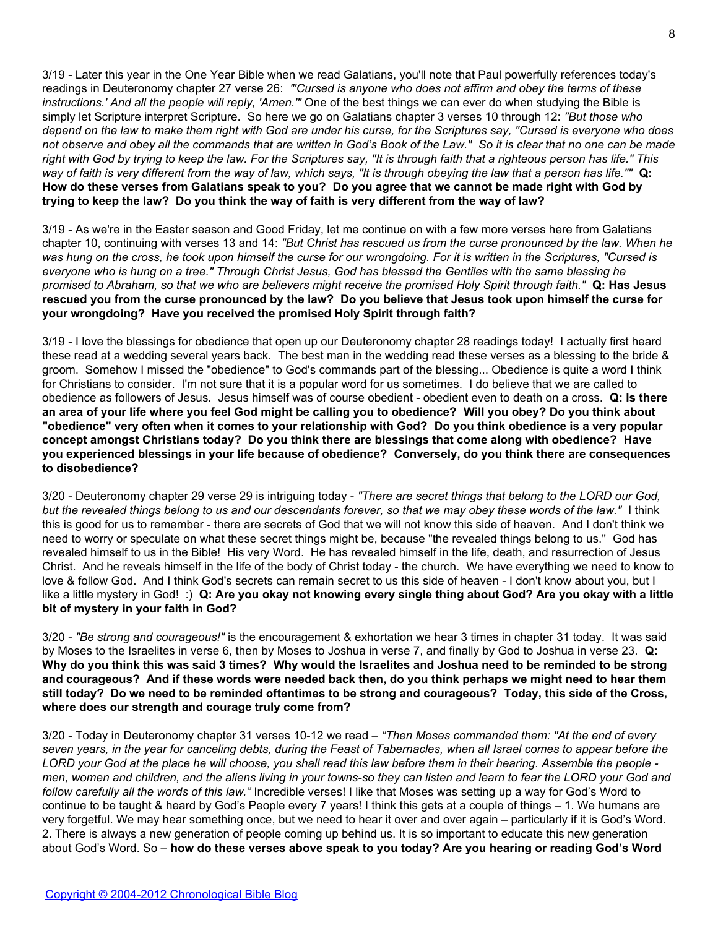3/19 - Later this year in the One Year Bible when we read Galatians, you'll note that Paul powerfully references today's readings in Deuteronomy chapter 27 verse 26: *"'Cursed is anyone who does not affirm and obey the terms of these instructions.' And all the people will reply, 'Amen.'"* One of the best things we can ever do when studying the Bible is simply let Scripture interpret Scripture. So here we go on Galatians chapter 3 verses 10 through 12: *"But those who depend on the law to make them right with God are under his curse, for the Scriptures say, "Cursed is everyone who does not observe and obey all the commands that are written in God's Book of the Law." So it is clear that no one can be made right with God by trying to keep the law. For the Scriptures say, "It is through faith that a righteous person has life." This way of faith is very different from the way of law, which says, "It is through obeying the law that a person has life.""* **Q: How do these verses from Galatians speak to you? Do you agree that we cannot be made right with God by trying to keep the law? Do you think the way of faith is very different from the way of law?**

3/19 - As we're in the Easter season and Good Friday, let me continue on with a few more verses here from Galatians chapter 10, continuing with verses 13 and 14: *"But Christ has rescued us from the curse pronounced by the law. When he was hung on the cross, he took upon himself the curse for our wrongdoing. For it is written in the Scriptures, "Cursed is everyone who is hung on a tree." Through Christ Jesus, God has blessed the Gentiles with the same blessing he promised to Abraham, so that we who are believers might receive the promised Holy Spirit through faith."* **Q: Has Jesus rescued you from the curse pronounced by the law? Do you believe that Jesus took upon himself the curse for your wrongdoing? Have you received the promised Holy Spirit through faith?**

3/19 - I love the blessings for obedience that open up our Deuteronomy chapter 28 readings today! I actually first heard these read at a wedding several years back. The best man in the wedding read these verses as a blessing to the bride & groom. Somehow I missed the "obedience" to God's commands part of the blessing... Obedience is quite a word I think for Christians to consider. I'm not sure that it is a popular word for us sometimes. I do believe that we are called to obedience as followers of Jesus. Jesus himself was of course obedient - obedient even to death on a cross. **Q: Is there an area of your life where you feel God might be calling you to obedience? Will you obey? Do you think about "obedience" very often when it comes to your relationship with God? Do you think obedience is a very popular concept amongst Christians today? Do you think there are blessings that come along with obedience? Have you experienced blessings in your life because of obedience? Conversely, do you think there are consequences to disobedience?**

3/20 - Deuteronomy chapter 29 verse 29 is intriguing today - *"There are secret things that belong to the LORD our God, but the revealed things belong to us and our descendants forever, so that we may obey these words of the law."* I think this is good for us to remember - there are secrets of God that we will not know this side of heaven. And I don't think we need to worry or speculate on what these secret things might be, because "the revealed things belong to us." God has revealed himself to us in the Bible! His very Word. He has revealed himself in the life, death, and resurrection of Jesus Christ. And he reveals himself in the life of the body of Christ today - the church. We have everything we need to know to love & follow God. And I think God's secrets can remain secret to us this side of heaven - I don't know about you, but I like a little mystery in God! :) **Q: Are you okay not knowing every single thing about God? Are you okay with a little bit of mystery in your faith in God?**

3/20 - *"Be strong and courageous!"* is the encouragement & exhortation we hear 3 times in chapter 31 today. It was said by Moses to the Israelites in verse 6, then by Moses to Joshua in verse 7, and finally by God to Joshua in verse 23. **Q: Why do you think this was said 3 times? Why would the Israelites and Joshua need to be reminded to be strong and courageous? And if these words were needed back then, do you think perhaps we might need to hear them still today? Do we need to be reminded oftentimes to be strong and courageous? Today, this side of the Cross, where does our strength and courage truly come from?**

3/20 - Today in Deuteronomy chapter 31 verses 10-12 we read – *"Then Moses commanded them: "At the end of every seven years, in the year for canceling debts, during the Feast of Tabernacles, when all Israel comes to appear before the LORD your God at the place he will choose, you shall read this law before them in their hearing. Assemble the people men, women and children, and the aliens living in your towns-so they can listen and learn to fear the LORD your God and follow carefully all the words of this law."* Incredible verses! I like that Moses was setting up a way for God's Word to continue to be taught & heard by God's People every 7 years! I think this gets at a couple of things – 1. We humans are very forgetful. We may hear something once, but we need to hear it over and over again – particularly if it is God's Word. 2. There is always a new generation of people coming up behind us. It is so important to educate this new generation about God's Word. So – **how do these verses above speak to you today? Are you hearing or reading God's Word**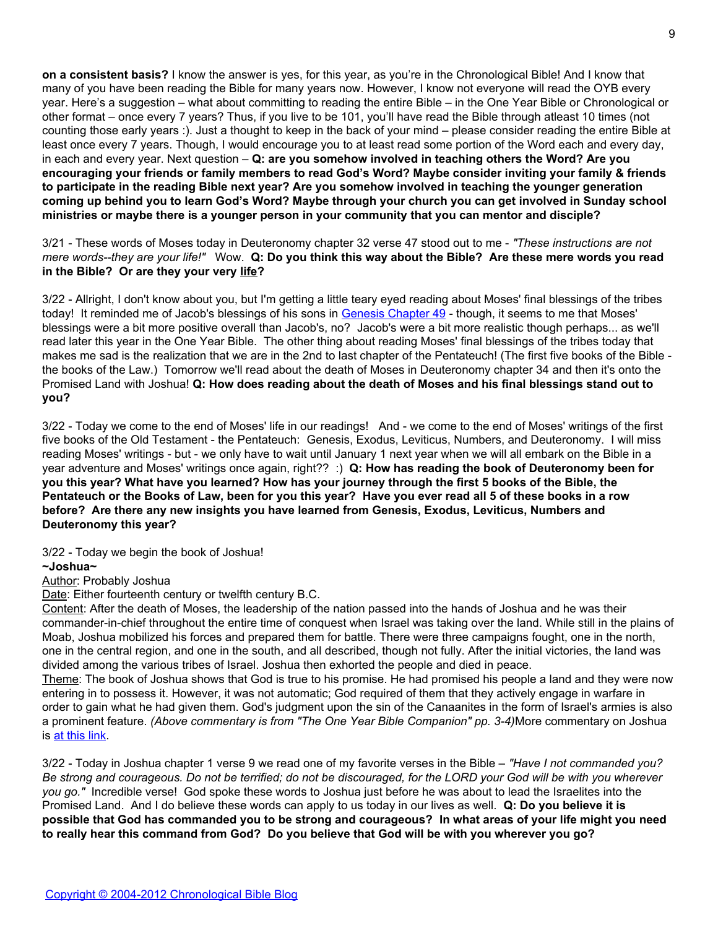**on a consistent basis?** I know the answer is yes, for this year, as you're in the Chronological Bible! And I know that many of you have been reading the Bible for many years now. However, I know not everyone will read the OYB every year. Here's a suggestion – what about committing to reading the entire Bible – in the One Year Bible or Chronological or other format – once every 7 years? Thus, if you live to be 101, you'll have read the Bible through atleast 10 times (not counting those early years :). Just a thought to keep in the back of your mind – please consider reading the entire Bible at least once every 7 years. Though, I would encourage you to at least read some portion of the Word each and every day, in each and every year. Next question – **Q: are you somehow involved in teaching others the Word? Are you encouraging your friends or family members to read God's Word? Maybe consider inviting your family & friends to participate in the reading Bible next year? Are you somehow involved in teaching the younger generation coming up behind you to learn God's Word? Maybe through your church you can get involved in Sunday school ministries or maybe there is a younger person in your community that you can mentor and disciple?**

3/21 - These words of Moses today in Deuteronomy chapter 32 verse 47 stood out to me - *"These instructions are not mere words--they are your life!"* Wow. **Q: Do you think this way about the Bible? Are these mere words you read in the Bible? Or are they your very life?**

3/22 - Allright, I don't know about you, but I'm getting a little teary eyed reading about Moses' final blessings of the tribes today! It reminded me of Jacob's blessings of his sons in [Genesis Chapter 49](http://blank/) - though, it seems to me that Moses' blessings were a bit more positive overall than Jacob's, no? Jacob's were a bit more realistic though perhaps... as we'll read later this year in the One Year Bible. The other thing about reading Moses' final blessings of the tribes today that makes me sad is the realization that we are in the 2nd to last chapter of the Pentateuch! (The first five books of the Bible the books of the Law.) Tomorrow we'll read about the death of Moses in Deuteronomy chapter 34 and then it's onto the Promised Land with Joshua! **Q: How does reading about the death of Moses and his final blessings stand out to you?**

3/22 - Today we come to the end of Moses' life in our readings! And - we come to the end of Moses' writings of the first five books of the Old Testament - the Pentateuch: Genesis, Exodus, Leviticus, Numbers, and Deuteronomy. I will miss reading Moses' writings - but - we only have to wait until January 1 next year when we will all embark on the Bible in a year adventure and Moses' writings once again, right?? :) **Q: How has reading the book of Deuteronomy been for you this year? What have you learned? How has your journey through the first 5 books of the Bible, the Pentateuch or the Books of Law, been for you this year? Have you ever read all 5 of these books in a row before? Are there any new insights you have learned from Genesis, Exodus, Leviticus, Numbers and Deuteronomy this year?**

3/22 - Today we begin the book of Joshua!

### **~Joshua~**

### Author: Probably Joshua

Date: Either fourteenth century or twelfth century B.C.

Content: After the death of Moses, the leadership of the nation passed into the hands of Joshua and he was their commander-in-chief throughout the entire time of conquest when Israel was taking over the land. While still in the plains of Moab, Joshua mobilized his forces and prepared them for battle. There were three campaigns fought, one in the north, one in the central region, and one in the south, and all described, though not fully. After the initial victories, the land was divided among the various tribes of Israel. Joshua then exhorted the people and died in peace.

Theme: The book of Joshua shows that God is true to his promise. He had promised his people a land and they were now entering in to possess it. However, it was not automatic; God required of them that they actively engage in warfare in order to gain what he had given them. God's judgment upon the sin of the Canaanites in the form of Israel's armies is also a prominent feature. *(Above commentary is from "The One Year Bible Companion" pp. 3-4)*More commentary on Joshua is [at this link](http://blank/).

3/22 - Today in Joshua chapter 1 verse 9 we read one of my favorite verses in the Bible – *"Have I not commanded you? Be strong and courageous. Do not be terrified; do not be discouraged, for the LORD your God will be with you wherever you go."* Incredible verse! God spoke these words to Joshua just before he was about to lead the Israelites into the Promised Land. And I do believe these words can apply to us today in our lives as well. **Q: Do you believe it is possible that God has commanded you to be strong and courageous? In what areas of your life might you need to really hear this command from God? Do you believe that God will be with you wherever you go?**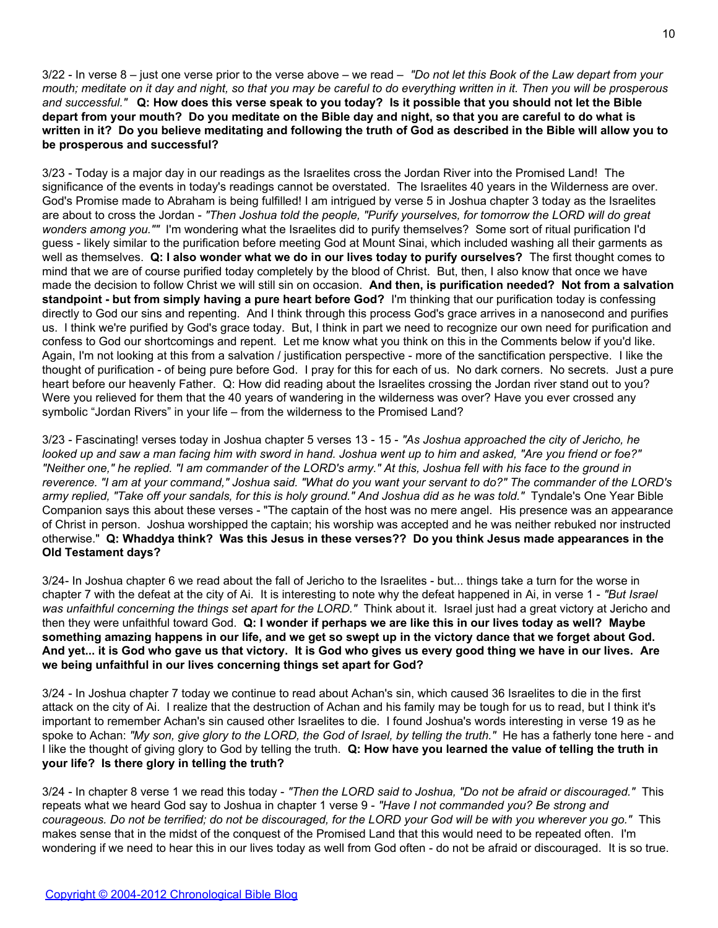3/22 - In verse 8 – just one verse prior to the verse above – we read – *"Do not let this Book of the Law depart from your mouth; meditate on it day and night, so that you may be careful to do everything written in it. Then you will be prosperous and successful."* **Q: How does this verse speak to you today? Is it possible that you should not let the Bible depart from your mouth? Do you meditate on the Bible day and night, so that you are careful to do what is written in it? Do you believe meditating and following the truth of God as described in the Bible will allow you to be prosperous and successful?**

3/23 - Today is a major day in our readings as the Israelites cross the Jordan River into the Promised Land! The significance of the events in today's readings cannot be overstated. The Israelites 40 years in the Wilderness are over. God's Promise made to Abraham is being fulfilled! I am intrigued by verse 5 in Joshua chapter 3 today as the Israelites are about to cross the Jordan - *"Then Joshua told the people, "Purify yourselves, for tomorrow the LORD will do great wonders among you.""* I'm wondering what the Israelites did to purify themselves? Some sort of ritual purification I'd guess - likely similar to the purification before meeting God at Mount Sinai, which included washing all their garments as well as themselves. **Q: I also wonder what we do in our lives today to purify ourselves?** The first thought comes to mind that we are of course purified today completely by the blood of Christ. But, then, I also know that once we have made the decision to follow Christ we will still sin on occasion. **And then, is purification needed? Not from a salvation standpoint - but from simply having a pure heart before God?** I'm thinking that our purification today is confessing directly to God our sins and repenting. And I think through this process God's grace arrives in a nanosecond and purifies us. I think we're purified by God's grace today. But, I think in part we need to recognize our own need for purification and confess to God our shortcomings and repent. Let me know what you think on this in the Comments below if you'd like. Again, I'm not looking at this from a salvation / justification perspective - more of the sanctification perspective. I like the thought of purification - of being pure before God. I pray for this for each of us. No dark corners. No secrets. Just a pure heart before our heavenly Father. Q: How did reading about the Israelites crossing the Jordan river stand out to you? Were you relieved for them that the 40 years of wandering in the wilderness was over? Have you ever crossed any symbolic "Jordan Rivers" in your life – from the wilderness to the Promised Land?

3/23 - Fascinating! verses today in Joshua chapter 5 verses 13 - 15 - *"As Joshua approached the city of Jericho, he looked up and saw a man facing him with sword in hand. Joshua went up to him and asked, "Are you friend or foe?" "Neither one," he replied. "I am commander of the LORD's army." At this, Joshua fell with his face to the ground in reverence. "I am at your command," Joshua said. "What do you want your servant to do?" The commander of the LORD's army replied, "Take off your sandals, for this is holy ground." And Joshua did as he was told."* Tyndale's One Year Bible Companion says this about these verses - "The captain of the host was no mere angel. His presence was an appearance of Christ in person. Joshua worshipped the captain; his worship was accepted and he was neither rebuked nor instructed otherwise." **Q: Whaddya think? Was this Jesus in these verses?? Do you think Jesus made appearances in the Old Testament days?**

3/24- In Joshua chapter 6 we read about the fall of Jericho to the Israelites - but... things take a turn for the worse in chapter 7 with the defeat at the city of Ai. It is interesting to note why the defeat happened in Ai, in verse 1 - *"But Israel was unfaithful concerning the things set apart for the LORD."* Think about it. Israel just had a great victory at Jericho and then they were unfaithful toward God. **Q: I wonder if perhaps we are like this in our lives today as well? Maybe something amazing happens in our life, and we get so swept up in the victory dance that we forget about God. And yet... it is God who gave us that victory. It is God who gives us every good thing we have in our lives. Are we being unfaithful in our lives concerning things set apart for God?**

3/24 - In Joshua chapter 7 today we continue to read about Achan's sin, which caused 36 Israelites to die in the first attack on the city of Ai. I realize that the destruction of Achan and his family may be tough for us to read, but I think it's important to remember Achan's sin caused other Israelites to die. I found Joshua's words interesting in verse 19 as he spoke to Achan: *"My son, give glory to the LORD, the God of Israel, by telling the truth."* He has a fatherly tone here - and I like the thought of giving glory to God by telling the truth. **Q: How have you learned the value of telling the truth in your life? Is there glory in telling the truth?**

3/24 - In chapter 8 verse 1 we read this today - *"Then the LORD said to Joshua, "Do not be afraid or discouraged."* This repeats what we heard God say to Joshua in chapter 1 verse 9 - *"Have I not commanded you? Be strong and courageous. Do not be terrified; do not be discouraged, for the LORD your God will be with you wherever you go."* This makes sense that in the midst of the conquest of the Promised Land that this would need to be repeated often. I'm wondering if we need to hear this in our lives today as well from God often - do not be afraid or discouraged. It is so true.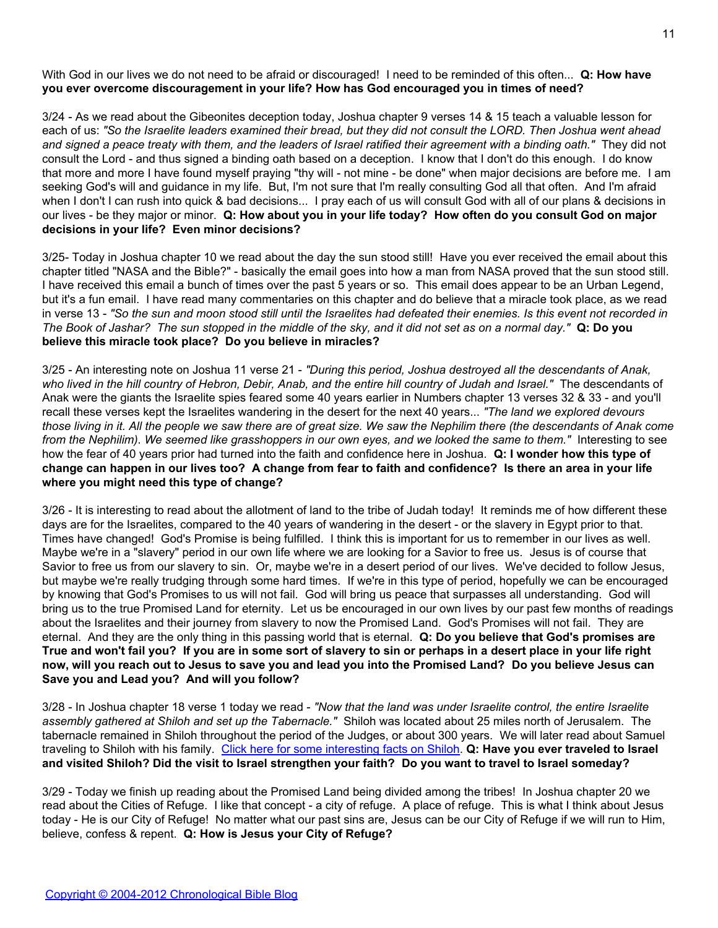With God in our lives we do not need to be afraid or discouraged! I need to be reminded of this often... **Q: How have you ever overcome discouragement in your life? How has God encouraged you in times of need?**

3/24 - As we read about the Gibeonites deception today, Joshua chapter 9 verses 14 & 15 teach a valuable lesson for each of us: *"So the Israelite leaders examined their bread, but they did not consult the LORD. Then Joshua went ahead and signed a peace treaty with them, and the leaders of Israel ratified their agreement with a binding oath."* They did not consult the Lord - and thus signed a binding oath based on a deception. I know that I don't do this enough. I do know that more and more I have found myself praying "thy will - not mine - be done" when major decisions are before me. I am seeking God's will and guidance in my life. But, I'm not sure that I'm really consulting God all that often. And I'm afraid when I don't I can rush into quick & bad decisions... I pray each of us will consult God with all of our plans & decisions in our lives - be they major or minor. **Q: How about you in your life today? How often do you consult God on major decisions in your life? Even minor decisions?**

3/25- Today in Joshua chapter 10 we read about the day the sun stood still! Have you ever received the email about this chapter titled "NASA and the Bible?" - basically the email goes into how a man from NASA proved that the sun stood still. I have received this email a bunch of times over the past 5 years or so. This email does appear to be an Urban Legend, but it's a fun email. I have read many commentaries on this chapter and do believe that a miracle took place, as we read in verse 13 - *"So the sun and moon stood still until the Israelites had defeated their enemies. Is this event not recorded in The Book of Jashar? The sun stopped in the middle of the sky, and it did not set as on a normal day."* **Q: Do you believe this miracle took place? Do you believe in miracles?**

3/25 - An interesting note on Joshua 11 verse 21 - *"During this period, Joshua destroyed all the descendants of Anak, who lived in the hill country of Hebron, Debir, Anab, and the entire hill country of Judah and Israel."* The descendants of Anak were the giants the Israelite spies feared some 40 years earlier in Numbers chapter 13 verses 32 & 33 - and you'll recall these verses kept the Israelites wandering in the desert for the next 40 years... *"The land we explored devours those living in it. All the people we saw there are of great size. We saw the Nephilim there (the descendants of Anak come from the Nephilim). We seemed like grasshoppers in our own eyes, and we looked the same to them."* Interesting to see how the fear of 40 years prior had turned into the faith and confidence here in Joshua. **Q: I wonder how this type of change can happen in our lives too? A change from fear to faith and confidence? Is there an area in your life where you might need this type of change?**

3/26 - It is interesting to read about the allotment of land to the tribe of Judah today! It reminds me of how different these days are for the Israelites, compared to the 40 years of wandering in the desert - or the slavery in Egypt prior to that. Times have changed! God's Promise is being fulfilled. I think this is important for us to remember in our lives as well. Maybe we're in a "slavery" period in our own life where we are looking for a Savior to free us. Jesus is of course that Savior to free us from our slavery to sin. Or, maybe we're in a desert period of our lives. We've decided to follow Jesus, but maybe we're really trudging through some hard times. If we're in this type of period, hopefully we can be encouraged by knowing that God's Promises to us will not fail. God will bring us peace that surpasses all understanding. God will bring us to the true Promised Land for eternity. Let us be encouraged in our own lives by our past few months of readings about the Israelites and their journey from slavery to now the Promised Land. God's Promises will not fail. They are eternal. And they are the only thing in this passing world that is eternal. **Q: Do you believe that God's promises are True and won't fail you? If you are in some sort of slavery to sin or perhaps in a desert place in your life right now, will you reach out to Jesus to save you and lead you into the Promised Land? Do you believe Jesus can Save you and Lead you? And will you follow?**

3/28 - In Joshua chapter 18 verse 1 today we read - *"Now that the land was under Israelite control, the entire Israelite assembly gathered at Shiloh and set up the Tabernacle."* Shiloh was located about 25 miles north of Jerusalem. The tabernacle remained in Shiloh throughout the period of the Judges, or about 300 years. We will later read about Samuel traveling to Shiloh with his family. [Click here for some interesting facts on Shiloh](http://blank/). **Q: Have you ever traveled to Israel and visited Shiloh? Did the visit to Israel strengthen your faith? Do you want to travel to Israel someday?**

3/29 - Today we finish up reading about the Promised Land being divided among the tribes! In Joshua chapter 20 we read about the Cities of Refuge. I like that concept - a city of refuge. A place of refuge. This is what I think about Jesus today - He is our City of Refuge! No matter what our past sins are, Jesus can be our City of Refuge if we will run to Him, believe, confess & repent. **Q: How is Jesus your City of Refuge?**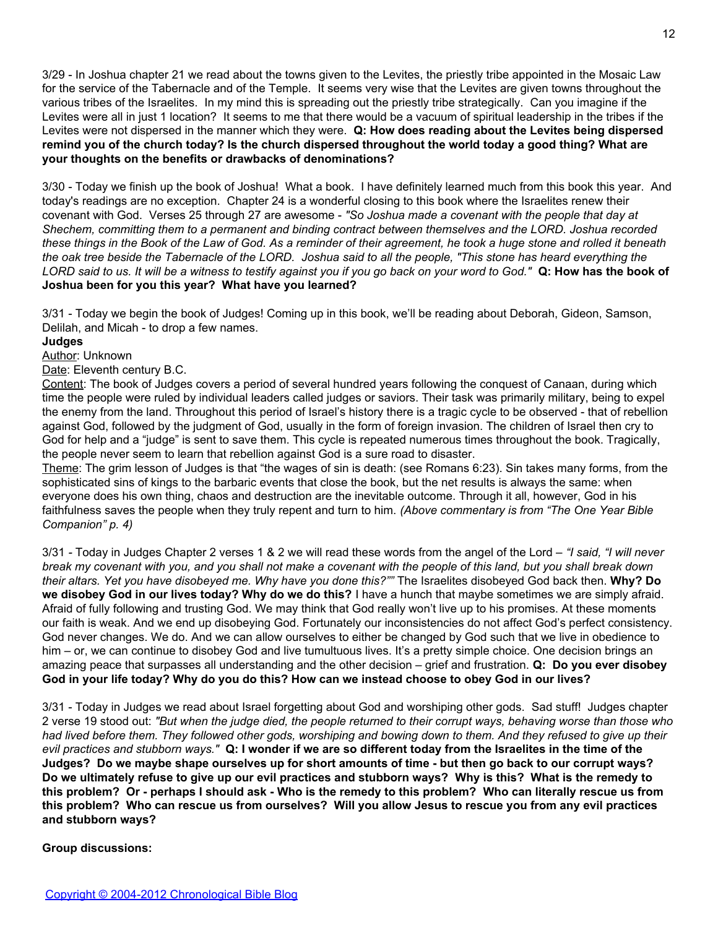3/29 - In Joshua chapter 21 we read about the towns given to the Levites, the priestly tribe appointed in the Mosaic Law for the service of the Tabernacle and of the Temple. It seems very wise that the Levites are given towns throughout the various tribes of the Israelites. In my mind this is spreading out the priestly tribe strategically. Can you imagine if the Levites were all in just 1 location? It seems to me that there would be a vacuum of spiritual leadership in the tribes if the Levites were not dispersed in the manner which they were. **Q: How does reading about the Levites being dispersed remind you of the church today? Is the church dispersed throughout the world today a good thing? What are your thoughts on the benefits or drawbacks of denominations?**

3/30 - Today we finish up the book of Joshua! What a book. I have definitely learned much from this book this year. And today's readings are no exception. Chapter 24 is a wonderful closing to this book where the Israelites renew their covenant with God. Verses 25 through 27 are awesome - *"So Joshua made a covenant with the people that day at Shechem, committing them to a permanent and binding contract between themselves and the LORD. Joshua recorded these things in the Book of the Law of God. As a reminder of their agreement, he took a huge stone and rolled it beneath the oak tree beside the Tabernacle of the LORD. Joshua said to all the people, "This stone has heard everything the LORD said to us. It will be a witness to testify against you if you go back on your word to God."* **Q: How has the book of Joshua been for you this year? What have you learned?**

3/31 - Today we begin the book of Judges! Coming up in this book, we'll be reading about Deborah, Gideon, Samson, Delilah, and Micah - to drop a few names.

# **Judges**

Author: Unknown

Date: Eleventh century B.C.

Content: The book of Judges covers a period of several hundred years following the conquest of Canaan, during which time the people were ruled by individual leaders called judges or saviors. Their task was primarily military, being to expel the enemy from the land. Throughout this period of Israel's history there is a tragic cycle to be observed - that of rebellion against God, followed by the judgment of God, usually in the form of foreign invasion. The children of Israel then cry to God for help and a "judge" is sent to save them. This cycle is repeated numerous times throughout the book. Tragically, the people never seem to learn that rebellion against God is a sure road to disaster.

Theme: The grim lesson of Judges is that "the wages of sin is death: (see Romans 6:23). Sin takes many forms, from the sophisticated sins of kings to the barbaric events that close the book, but the net results is always the same: when everyone does his own thing, chaos and destruction are the inevitable outcome. Through it all, however, God in his faithfulness saves the people when they truly repent and turn to him. *(Above commentary is from "The One Year Bible Companion" p. 4)*

3/31 *-* Today in Judges Chapter 2 verses 1 & 2 we will read these words from the angel of the Lord – *"I said, "I will never break my covenant with you, and you shall not make a covenant with the people of this land, but you shall break down their altars. Yet you have disobeyed me. Why have you done this?""* The Israelites disobeyed God back then. **Why? Do we disobey God in our lives today? Why do we do this?** I have a hunch that maybe sometimes we are simply afraid. Afraid of fully following and trusting God. We may think that God really won't live up to his promises. At these moments our faith is weak. And we end up disobeying God. Fortunately our inconsistencies do not affect God's perfect consistency. God never changes. We do. And we can allow ourselves to either be changed by God such that we live in obedience to him – or, we can continue to disobey God and live tumultuous lives. It's a pretty simple choice. One decision brings an amazing peace that surpasses all understanding and the other decision – grief and frustration. **Q: Do you ever disobey God in your life today? Why do you do this? How can we instead choose to obey God in our lives?**

3/31 - Today in Judges we read about Israel forgetting about God and worshiping other gods. Sad stuff! Judges chapter 2 verse 19 stood out: *"But when the judge died, the people returned to their corrupt ways, behaving worse than those who had lived before them. They followed other gods, worshiping and bowing down to them. And they refused to give up their evil practices and stubborn ways."* **Q: I wonder if we are so different today from the Israelites in the time of the Judges? Do we maybe shape ourselves up for short amounts of time - but then go back to our corrupt ways? Do we ultimately refuse to give up our evil practices and stubborn ways? Why is this? What is the remedy to this problem? Or - perhaps I should ask - Who is the remedy to this problem? Who can literally rescue us from this problem? Who can rescue us from ourselves? Will you allow Jesus to rescue you from any evil practices and stubborn ways?**

**Group discussions:**